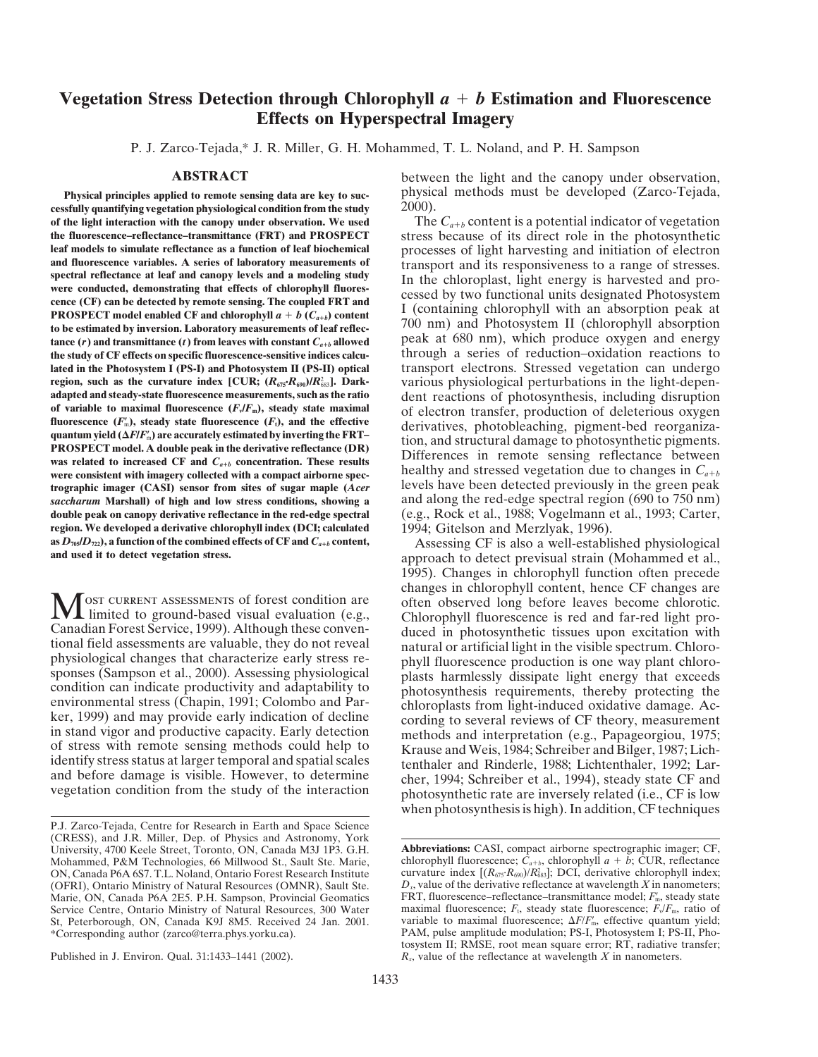## **Vegetation Stress Detection through Chlorophyll** *a b* **Estimation and Fluorescence Effects on Hyperspectral Imagery**

P. J. Zarco-Tejada,\* J. R. Miller, G. H. Mohammed, T. L. Noland, and P. H. Sampson

**cessfully quantifying vegetation physiological condition from the study of the light interaction with the canopy under observation. We used<br>the fluorescence-reflectance-transmittance (FRT) and PROSPECT stress because of its direct role in the photosynthetic the fluorescence–reflectance–transmittance (FRT) and PROSPECT** stress because of its direct role in the photosynthetic leaf models to simulate reflectance as a function of leaf biochemical processes of light harvesting an **leaf models to simulate reflectance as a function of leaf biochemical** processes of light harvesting and initiation of electron and fluorescence variables. A series of laboratory measurements of<br>spectral reflectance at leaf and canopy levels and a modeling study<br>were conducted, demonstrating that effects of chlorophyll fluores-<br>cence (CF) can be d to be estimated by inversion. Laboratory measurements of leaf reflection  $U(0 \text{ nm})$  and Photosystem II (chlorophyll absorption tance  $(r)$  and transmittance  $(t)$  from leaves with constant  $C_{a+b}$  allowed peak at 680 nm), w **the study of CF effects on specific fluorescence-sensitive indices calcu-** through a series of reduction–oxidation reactions to **lated in the Photosystem I (PS-I) and Photosystem II (PS-II) optical** transport electrons. Stressed vegetation can undergo **region, such as the curvature index [CUR;**  $(R_{\text{075}} \cdot R_{\text{000}})/R_{\text{083}}^2$ **]. Dark-<br>adapted and steady-state fluorescence measurements, such as the ratio adapted and steady-state fluorescence measurements, such as the ratio** dent reactions of photosynthesis, including disruption of variable to maximal fluorescence  $(F,F_m)$ , steady state maximal of electron transfer, producti of variable to maximal fluorescence  $(F_v/F_m)$ , steady state maximal of electron transfer, production of deleterious oxygen fluorescence  $(F'_m)$ , steady state fluorescence  $(F_v)$ , and the effective derivatives photoblacebing p **)** fluorescence ( $F_m$ ), steady state fluorescence ( $F_t$ ), and the effective derivatives, photobleaching, pigment-bed reorganiza-<br>**PROSPECT** model. A double peak in the derivative reflectance (DR) Difference in the struct **EXECUTE IN THE EXECUTE OF A RUBBE PEAK IN THE UPITAL PROPERTY.** These relations in terms relation of the contraction. These results<br>was related to increased CF and  $C_{a+b}$  over consistent with imagery collected with a co were consistent with imagery collected with a compact airborne spec**trographic imager (CASI) sensor from sites of sugar maple (***Acer* levels have been detected previously in the green peak *saccharum* **Marshall) of high and low stress conditions, showing a** and along the red-edge spectral region (690 to 750 nm) **double peak on canopy derivative reflectance in the red-edge spectral** (e.g., Rock et al., 1988; Vogelmann et al., 1993; Carter, **region. We developed a derivative chlorophyll index (DCI; calculated** 1994; Gitelson and Merzlyak, 1996).<br> **as**  $D_{\eta s}/D_{\eta z}$ **), a function of the combined effects of CF and**  $C_{a+b}$  **content,** A ssessing CF is also a well-e

**ABSTRACT** between the light and the canopy under observation, **Physical principles applied to remote sensing data are key to suc-** physical methods must be developed (Zarco-Tejada, sfully quantifying vegetation physiological condition from the study 2000).

various physiological perturbations in the light-depen-

as  $D_{\eta_2}(D_{\eta_2})$ , a function of the combined effects of CF and  $C_{a+b}$  content,<br>and used it to detect vegetation stress.<br>approach to detect previsual strain (Mohammed et al., 1995). Changes in chlorophyll function often precede changes in chlorophyll content, hence CF changes are MOST CURRENT ASSESSMENTS of forest condition are<br>
imited to ground-based visual evaluation (e.g.,<br>
Chlorophyll fluorescence is red and far-red light pro-<br>
Canadian Forest Service, 1999). Although these conver-<br>
tional fiel when photosynthesis is high). In addition, CF techniques

P.J. Zarco-Tejada, Centre for Research in Earth and Space Science (CRESS), and J.R. Miller, Dep. of Physics and Astronomy, York University, 4700 Keele Street, Toronto, ON, Canada M3J 1P3. G.H. **Abbreviations:** CASI, compact airborne spectrographic imager; CF, Mohammed, P&M Technologies, 66 Millwood St., Sault Ste. Marie, chlorophyll fluorescence;  $\hat{C}_{a+b}$ , chlorophyll  $a + b$ ; CUR, reflectance ON, Canada P6A 6S7. T.L. Noland, Ontario Forest Research Institute curvature index *(OFRI), Ontario Ministry of Natural Resources (OMNR), Sault Ste.* Marie, ON, Canada P6A 2E5. P.H. Sampson, Provincial Geomatics FRT, fluorescence–reflectance–transmittance model;  $F_m$ , steady state<br>Service Centre, Ontario Ministry of Natural Resources, 300 Water maximal fluorescence;  $F$ Service Centre, Ontario Ministry of Natural Resources, 300 Water *maximal fluorescence*;  $F_t$ , steady state fluorescence;  $F_v/F_m$ , ratio of St, Peterborough, ON, Canada K9J 8M5. Received 24 Jan. 2001. variable to maximal fluorescence;  $\Delta F/F_m^r$ 

curvature index  $[(R_{675}R_{690})/R_{683}^2]$ ; DCI, derivative chlorophyll index; *D<sub>1</sub>*, value of the derivative reflectance at wavelength *X* in nanometers;  $\overrightarrow{FRT}$ , fluorescence-reflectance-transmittance model;  $F_m$ , steady state variable to maximal fluorescence;  $\Delta F/F_{\text{m}}$ , effective quantum yield; \*Corresponding author (zarco@terra.phys.yorku.ca). PAM, pulse amplitude modulation; PS-I, Photosystem I; PS-II, Photosystem II; RMSE, root mean square error; RT, radiative transfer; Published in J. Environ. Qual. 31:1433–1441 (2002).  $R_x$  value of the reflectance at wavelength *X* in nanometers.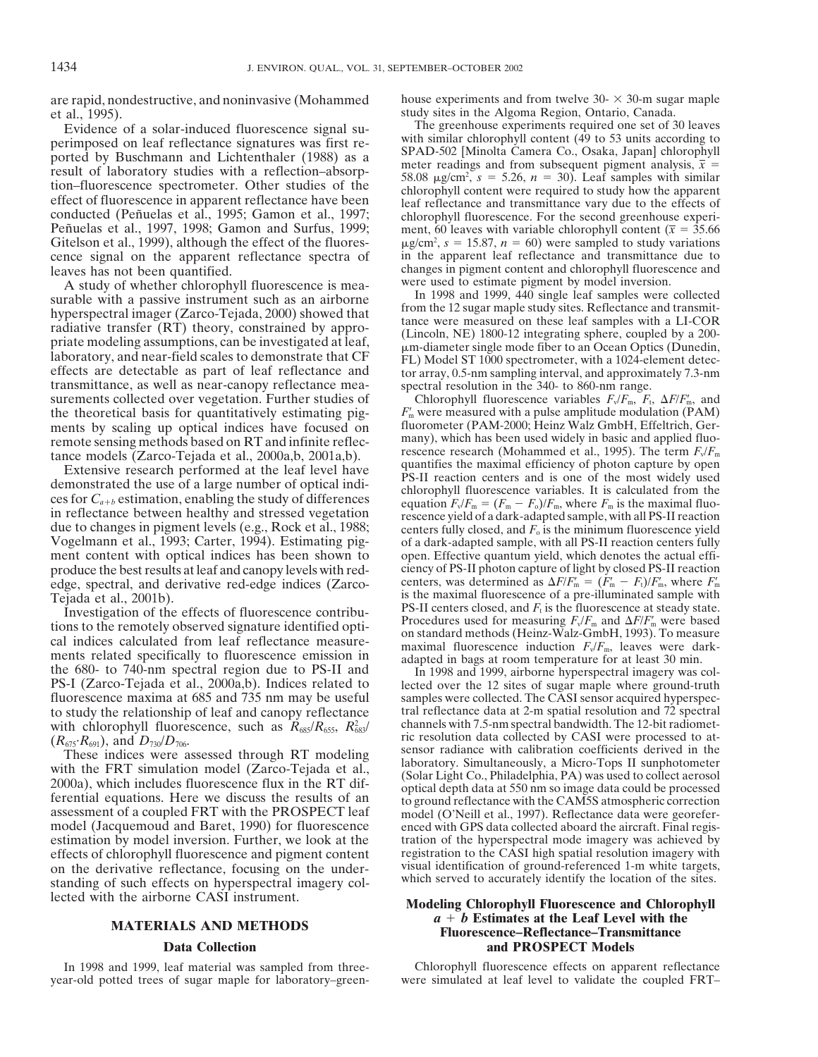et al., 1995). study sites in the Algoma Region, Ontario, Canada.

perimposed on leaf reflectance signatures was first re-<br>ported by Buschmann and Lichtenthaler (1988) as a<br>result of laboratory studies with a reflection-absorp-<br>tion-fluorescence spectrometer. Other studies of the<br>fluores tion–nuorescence spectrometer. Other studies of the<br>effect of fluorescence in apparent reflectance have been<br>conducted (Peñuelas et al., 1995; Gamon et al., 1997;<br>Peñuelas et al., 1997, 1998; Gamon and Surfus, 1999;<br>ment, Peñuelas et al., 1997, 1998; Gamon and Surfus, 1999; ment, 60 leaves with variable chlorophyll content ( $\bar{x}$  = 35.66<br>Gitelson et al., 1999), although the effect of the fluores-<br> $\mu g/cm^2$ ,  $s = 15.87$ ,  $n = 60$ ) were sampl cence signal on the apparent reflectance spectra of leaves has not been quantified.

A study of whether chlorophyll fluorescence is mea-<br>surable with a passive instrument such as an airborne<br>form the 1998 and 1999, 440 single leaf samples were collected surable with a passive instrument such as an airborne<br>hyperspectral imager (Zarco-Tejada, 2000) showed that<br>radiative transfer (RT) theory, constrained by appro-<br>priate modeling assumptions, can be investigated at leaf,<br>la transmittance, as well as near-canopy reflectance mea- spectral resolution in the 340- to 860-nm range. surements collected over vegetation. Further studies of the theoretical basis for quantitatively estimating pig-<br>ments by scaling up optical indices have focused on fluorometer (PAM-2000; Heinz Walz GmbH, Effeltrich, Germents by scaling up optical indices have focused on fluorometer (PAM-2000; Heinz Walz GmbH, Effeltrich, Ger-<br>remote sensing methods based on RT and infinite reflec- many), which has been used widely in basic and applied fl

ces for  $C_{a+b}$  estimation, enabling the study of differences<br>in reflectance between healthy and stressed vegetation<br>due to changes in pigment levels (e.g., Rock et al., 1988;<br>Vogelmann et al., 1993; Carter, 1994). Estima ment content with optical indices has been shown to open. Effective quantum yield, which denotes the actual effi-<br>produce the best results at leaf and canopy levels with red-<br>ciency of PS-II photon capture of light by clos produce the best results at leaf and canopy levels with rededge, spectral, and derivative red-edge indices (Zarco-

Example the term of the term of the term of the term of the term of the term of the term of the term of the term of the term of the term of the cal indices calculated from leaf reflectance measure-<br>cal indices calculated

assessment of a coupled FRT with the PROSPECT leaf and all (O'Neill et al., 1997). Reflectance data were georefer-<br>model (Jacquemoud and Baret, 1990) for fluorescence and with GPS data collected aboard the aircraft. Final estimation by model inversion. Further, we look at the tration of the hyperspectral mode imagery was achieved by effects of chlorophyll fluorescence and pigment content registration to the CASI high spatial resolution imag effects of chlorophyll fluorescence and pigment content registration to the CASI high spatial resolution imagery with<br>on the derivative reflectance focusing on the under-<br>visual identification of ground-referenced 1-m whit on the derivative reflectance, focusing on the under-<br>standing of such effects on hyperspectral imagery col-<br>which served to accurately identify the location of the sites. standing of such effects on hyperspectral imagery collected with the airborne CASI instrument. **Modeling Chlorophyll Fluorescence and Chlorophyll**

are rapid, nondestructive, and noninvasive (Mohammed house experiments and from twelve  $30- \times 30$ -m sugar maple

Evidence of a solar-induced fluorescence signal su-<br>
The greenhouse experiments required one set of 30 leaves<br>
with similar chlorophyll content (49 to 53 units according to  $\mu$ g/cm<sup>2</sup>, *s* = 15.87, *n* = 60) were sampled to study variations in the apparent leaf reflectance and transmittance due to changes in pigment content and chlorophyll fluorescence and were used to estimate pigment by model inversion.

Chlorophyll fluorescence variables  $F_v/F_m$ ,  $F_t$ ,  $\Delta F/F_m$ , and  $F<sub>m</sub>$  were measured with a pulse amplitude modulation (PAM) remote sensing methods based on RT and infinite reflec-<br>tance models (Zarco-Tejada et al., 2000a,b, 2001a,b).<br>Extensive research performed at the leaf level have<br>demonstrated the use of a large number of optical indi-<br>ces of a dark-adapted sample, with all PS-II reaction centers fully open. Effective quantum yield, which denotes the actual effi $f_{\text{m}}' = (F_{\text{m}}' - F_{\text{t}})/F_{\text{m}}'$ , where  $F_{\text{m}}'$ Tejada et al., 2001b).<br>Investigation of the effects of fluorescence contribution. PS-II centers closed, and  $F_t$  is the fluorescence at steady state. Investigation of the effects of fluorescence contribu-<br>tions to the remotely observed signature identified opti-<br>and *Procedures* used for measuring  $F_v/F_m$  and  $\Delta F/F_m$  were based<br>on standard methods (Heinz-Walz-GmbH, 1993

fluorescence maxima at 685 and 735 nm may be useful samples were collected. The CASI sensor acquired hyperspector study the relationship of leaf and canopy reflectance tral reflectance data at 2-m spatial resolution and 72 to study the relationship of leaf and canopy reflectance tral reflectance data at 2-m spatial resolution and 72 spectral<br>with chlorophyll fluorescence, such as  $R_{\text{cos}}/R_{\text{cos}}$ ,  $R_{\text{cos}}^2$  channels with 7.5-nm spectral with chlorophyll fluorescence, such as  $R_{685}/R_{655}$ ,  $R_{685}^2$  channels with 7.5-nm spectral bandwidth. The 12-bit radiomet- $(R<sub>675</sub>·R<sub>691</sub>)$ , and  $D<sub>730</sub>/D<sub>706</sub>$ .<br>
These indices were assessed through RT modeling<br>
with the FRT simulation model (Zarco-Tejada et al.,<br>
2000a), which includes fluorescence flux in the RT dif-<br>
ferentia

## *<sup>a</sup> <sup>b</sup>* **Estimates at the Leaf Level with the MATERIALS AND METHODS Fluorescence–Reflectance–Transmittance Data Collection and PROSPECT Models**

In 1998 and 1999, leaf material was sampled from three-<br>
year-old potted trees of sugar maple for laboratory-green-<br>
were simulated at leaf level to validate the coupled FRTwere simulated at leaf level to validate the coupled FRT–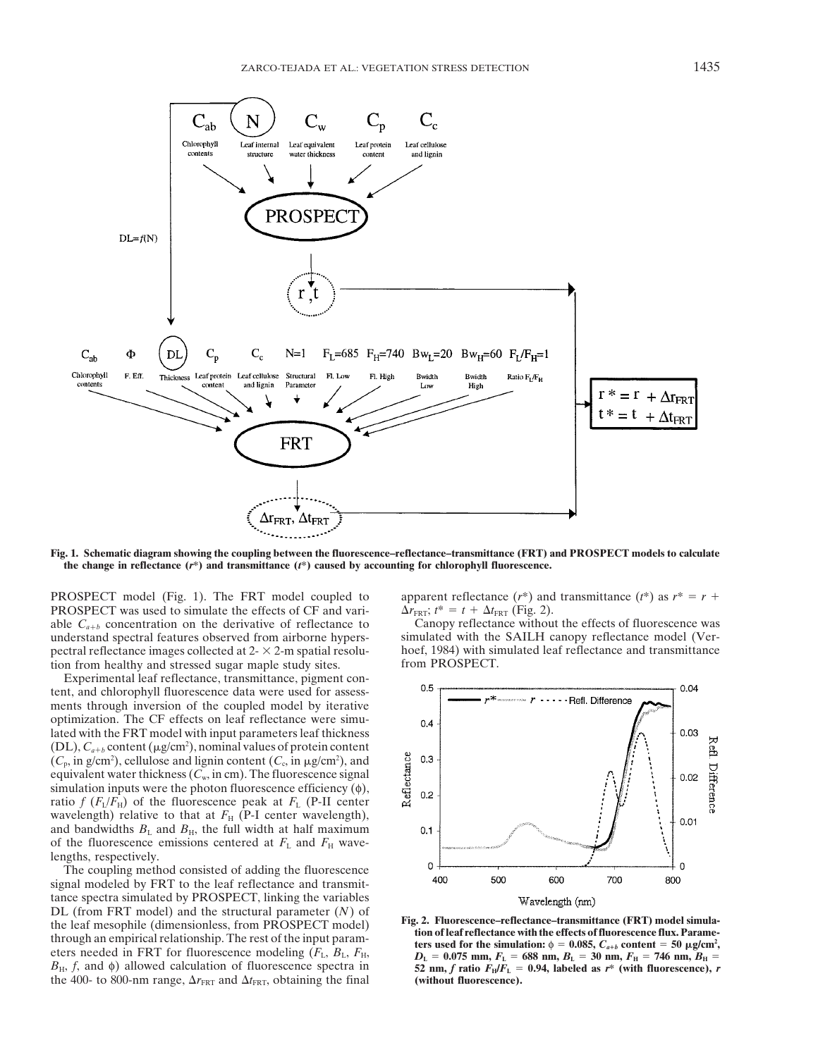

**Fig. 1. Schematic diagram showing the coupling between the fluorescence–reflectance–transmittance (FRT) and PROSPECT models to calculate the change in reflectance (***r***\*) and transmittance (***t***\*) caused by accounting for chlorophyll fluorescence.**

**PROSPECT** was used to simulate the effects of CF and vari-<br>able  $C_{a+b}$  concentration on the derivative of reflectance to Canopy reflectance without the effects of fluorescence was able  $C_{a+b}$  concentration on the derivative of reflectance to Canopy reflectance without the effects of fluorescence was understand spectral features observed from airborne hypers-<br>simulated with the SAILH canopy reflect pectral reflectance images collected at  $2 - \times 2$ -m spatial resolu-<br>hoef, 1984) with simulation from healthy and stressed sugar maple study sites.<br>from PROSPECT. tion from healthy and stressed sugar maple study sites.

Experimental leaf reflectance, transmittance, pigment content, and chlorophyll fluorescence data were used for assessments through inversion of the coupled model by iterative optimization. The CF effects on leaf reflectance were simulated with the FRT model with input parameters leaf thickness  $(DL)$ ,  $C_{a+b}$  content ( $\mu$ g/cm<sup>2</sup>), nominal values of protein content  $(C_p, \text{in g/cm}^2)$ , cellulose and lignin content  $(C_c, \text{in g/cm}^2)$ , and equivalent water thickness  $(C_w, \text{in cm})$ . The fluorescence signal simulation inputs were the photon fluorescence efficiency  $(\phi)$ , ratio  $f(F_L/F_H)$  of the fluorescence peak at  $F_L$  (P-II center wavelength) relative to that at  $F_H$  (P-I center wavelength), and bandwidths  $B_L$  and  $B_H$ , the full width at half maximum of the fluorescence emissions centered at  $F<sub>L</sub>$  and  $F<sub>H</sub>$  wavelengths, respectively.

The coupling method consisted of adding the fluorescence signal modeled by FRT to the leaf reflectance and transmittance spectra simulated by PROSPECT, linking the variables tance spectra simulated by PROSPECT, linking the variables<br>
DL (from FRT model) and the structural parameter (N) of<br>
the leaf mesophile (dimensionless, from PROSPECT model)<br>
through an empirical relationship. The rest of  $B_H$ , f, and  $\phi$ ) allowed calculation of fluorescence spectra in 52 nm, f ratio  $F_H/F_L = 0.94$ , labeled as r\* (with fluorescence), r the 400- to 800-nm range,  $\Delta r_{\text{FRT}}$  and  $\Delta t_{\text{FRT}}$ , obtaining the final **(without fluorescence).** 

**PROSPECT** model (Fig. 1). The FRT model coupled to apparent reflectance  $(r^*)$  and transmittance  $(r^*)$  as  $r^* = r + r^*$ 

understand spectral features observed from airborne hypers-<br>pectral reflectance images collected at  $2 - \times 2$ -m spatial resolu-<br>hoef, 1984) with simulated leaf reflectance and transmittance

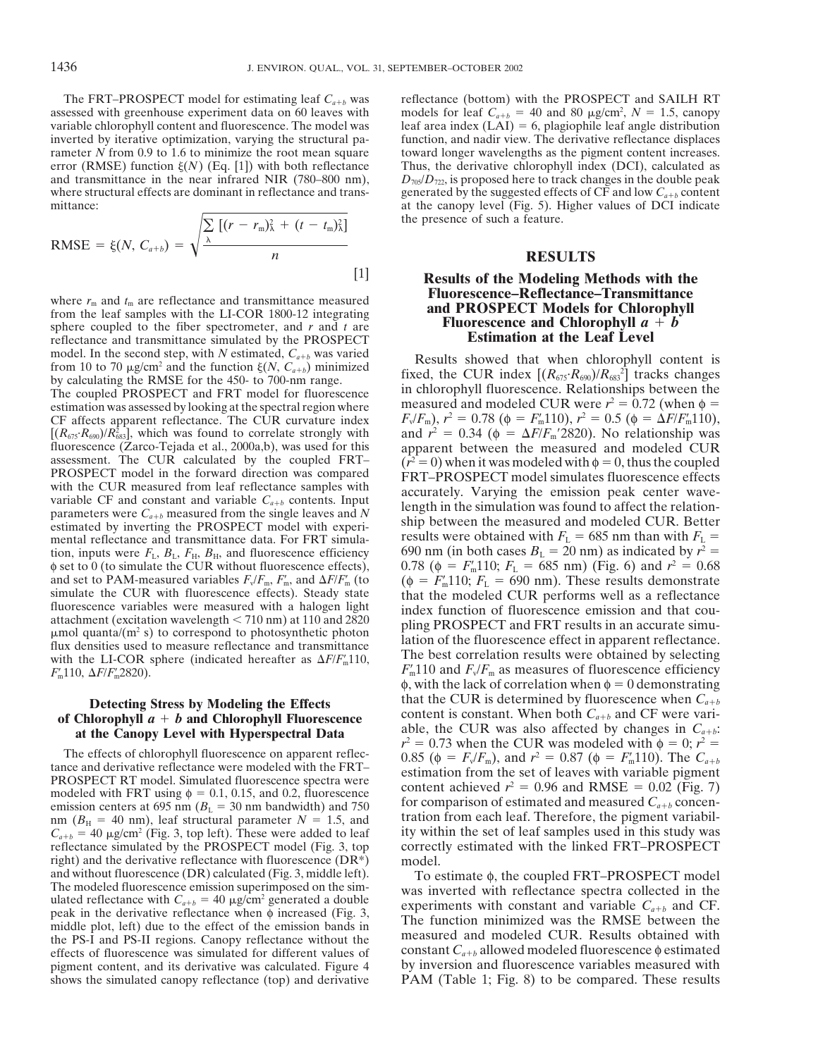The FRT–PROSPECT model for estimating leaf  $C_{a+b}$  was reflectance (bottom) with the PROSPECT and SAILH RT assessed with greenhouse experiment data on 60 leaves with models for leaf  $C_{a+b} = 40$  and 80  $\mu$ g/cm<sup>2</sup>,  $N = 1.5$ 

RMSE = 
$$
\xi(N, C_{a+b}) = \sqrt{\frac{\sum_{\lambda} [(r - r_{\rm m})_{\lambda}^2 + (t - t_{\rm m})_{\lambda}^2]}{n}}
$$
 [1]

sphere coupled to the fiber spectrometer, and  $r$  and  $t$  are **FIUOrescence and Chlorophyli**  $\boldsymbol{a}$  **reflectance and transmittance simulated by the PROSPECT Estimation at the Leaf Level** reflectance and transmittance simulated by the PROSPECT

The coupled PROSPECT and FRT model for fluorescence<br>estimation was assessed by looking at the spectral region where<br>measured and modeled CUR were  $r^2 = 0.72$  (when  $\phi =$  $CF$  affects apparent reflectance. The CUR curvature index  $[(R_{675} \cdot R_{690})/R_{683}^2]$ , which was found to correlate strongly with and  $r^2 = 0.34$  ( $\phi = \Delta F/F_{\rm m}$ ' fluorescence (Zarco-Tejada et al., 2000a,b), was used for this apparent between the measured and modeled CUR assessment. The CUR calculated by the coupled FRT-  $(r^2 = 0)$  when it was modeled with  $\phi = 0$ , thus the coupled assessment. The CUR calculated by the coupled FRT– $(r^2 = 0)$  when it was modeled with  $\phi = 0$ , thus the coupled PROSPECT model in the forward direction was compared FRT–PROSPECT model simulates fluorescence effects with th with the COK measured from lear reflectance samples with<br>variable CF and constant and variable  $C_{a+b}$  contents. Input<br>parameters were  $C_{a+b}$  measured from the single leaves and N<br>estimated by inverting the PROSPECT mode tion, inputs were  $F_{\rm L}$ ,  $B_{\rm L}$ ,  $F_{\rm H}$ ,  $B_{\rm H}$ , and fluorescence efficiency  $φ$  set to 0 (to simulate the CUR without fluorescence effects), and set to PAM-measured variables  $F_v/F_m$ ,  $F'_m$ , and  $\Delta F/F'_m$ simulate the CUR with fluorescence effects). Steady state that the modeled CUR performs well as a reflectance<br>fluorescence variables were measured with a halogen light index function of fluorescence emission and that couattachment (excitation wavelength < 710 nm) at 110 and 2820<br>  $\mu$ mol quanta/(m<sup>2</sup> s) to correspond to photosynthetic photon<br>
flux densities used to measure reflectance and transmittance<br>
with the LI-COR sphere (indicated  $F_{\rm m}110$ ,  $\Delta F/F_{\rm m}2820$ ).

nm ( $B<sub>H</sub> = 40$  nm), leaf structural parameter  $N = 1.5$ , and reflectance simulated by the PROSPECT model (Fig. 3, top right) and the derivative reflectance with fluorescence  $(DR^*)$  model.<br>and without fluorescence  $(DR)$  calculated (Fig. 3, middle left). To e and without fluorescence (DR) calculated (Fig. 3, middle left). To estimate  $\phi$ , the coupled FRT-PROSPECT model<br>The modeled fluorescence emission superimposed on the sim-<br>ulated reflectance with  $C_{a+b} = 40 \mu g/cm^2$  generat the PS-I and PS-II regions. Canopy reflectance without the effects of fluorescence was simulated for different values of constant  $C_{a+b}$  allowed modeled fluorescence  $\phi$  estimated pigment content, and its derivative was shows the simulated canopy reflectance (top) and derivative

assessed with greenhouse experiment data on 60 leaves with models for leaf  $C_{a+b} = 40$  and 80  $\mu$ g/cm<sup>2</sup>,  $N = 1.5$ , canopy variable chlorophyll content and fluorescence. The model was leaf area index (LAI) = 6, plagiophi leaf area index  $(LAI) = 6$ , plagiophile leaf angle distribution inverted by iterative optimization, varying the structural pa-<br>
interation, and nadir view. The derivative reflectance displaces<br>  $\frac{1}{2}$  function, and nadir view. The derivative reflectance displaces<br>  $\frac{1}{2}$  function toward longer wavelengths as the pigment content increases. error (RMSE) function  $\xi(N)$  (Eq. [1]) with both reflectance Thus, the derivative chlorophyll index (DCI), calculated as and transmittance in the near infrared NIR (780–800 nm),  $D_{\eta\beta}/D_{\eta\gamma}$  is proposed here to track changes in the double peak where structural effects are dominant in reflectance and trans- generated by the suggested effects of CF and low  $C_{a+b}$  content mittance: at the canopy level (Fig. 5). Higher values of DCI indicate the presence of such a feature.

## *n* **RESULTS**

# **Results of the Modeling Methods with the** where  $r_m$  and  $t_m$  are reflectance and transmittance measured<br>from the leaf samples with the LI-COR 1800-12 integrating<br>subere counded to the fiber spectrometer, and *t* and *t* are<br>**Eluorescence and Chlorophyll**  $a + b$

model. In the second step, with N estimated,  $C_{a+b}$  was varied<br>from 10 to 70  $\mu$ g/cm<sup>2</sup> and the function  $\xi(N, C_{a+b})$  minimized<br>by calculating the RMSE for the 450- to 700-nm range.<br>The counled PROSPECT and FRT model for  $F_v/F_m$ ),  $r^2 = 0.78$  ( $\phi = F'_m 110$ ),  $r^2 = 0.5$  ( $\phi = \Delta F/F'_m 110$ ), and  $r^2 = 0.34$  ( $\phi = \Delta F/F_m$ '2820). No relationship was results were obtained with  $F_L = 685$  nm than with  $F_L = 690$  nm (in both cases  $B_L = 20$  nm) as indicated by  $r^2 =$  $m_{\text{m}}$ 110;  $F_{\text{L}}$  = 685 nm) (Fig. 6) and  $r^2$  = 0.68  $T_{\text{m}}'$  (to  $(\phi = F_{\text{n}}'$  $F_m$ 110,  $\Delta F/F_m$  as measures of fluorescence efficiency  $F_m$ 110 and  $F_v/F_m$  as measures of fluorescence efficiency  $\phi$ , with the lack of correlation when  $\phi = 0$  demonstrating **Detecting Stress by Modeling the Effects** that the CUR is determined by fluorescence when  $C_{a+b}$  and  $C_{a+b}$  and *C* and *C* and *C* and *C* and *C* and *C* and *C* and *C* and *C* and *C* and *C* and *C* and *C* and *C* of Chlorophyll *a* + *b* and Chlorophyll Fluorescence<br>at the Canopy Level with Hyperspectral Data<br> $r^2 = 0.73$  when the CUR was also affected by changes in  $C_{a+b}$ :<br> $r^2 = 0.73$  when the CUR was modeled with  $\phi = 0$ ;  $r^2 =$ The effects of chlorophyll fluorescence on apparent reflec-<br>  $r^2 = 0.73$  when the CUR was modeled with  $\phi = 0$ ;  $r^2 = 0.73$  when the CUR was modeled with  $\phi = 0$ ;  $r^2 = 0.87$  ( $\phi = F_w/F_m$ ), and  $r^2 = 0.87$  ( $\phi = F_m$ 110). Th The effects of chlorophyll fluorescence on apparent reflec-<br>tance and derivative reflectance were modeled with the FRT-<br>PROSPECT RT model. Simulated fluorescence spectra were<br>modeled with FRT using  $\phi = 0.1$ , 0.15, and 0.  $C_{a+b} = 40 \mu g/cm^2$  (Fig. 3, top left). These were added to leaf ity within the set of leaf samples used in this study was reflectance simulated by the PROSPECT model (Fig. 3, top correctly estimated with the linked FRT–PRO

pigment content, and its derivative was calculated. Figure 4 by inversion and fluorescence variables measured with shows the simulated canopy reflectance (top) and derivative PAM (Table 1; Fig. 8) to be compared. These res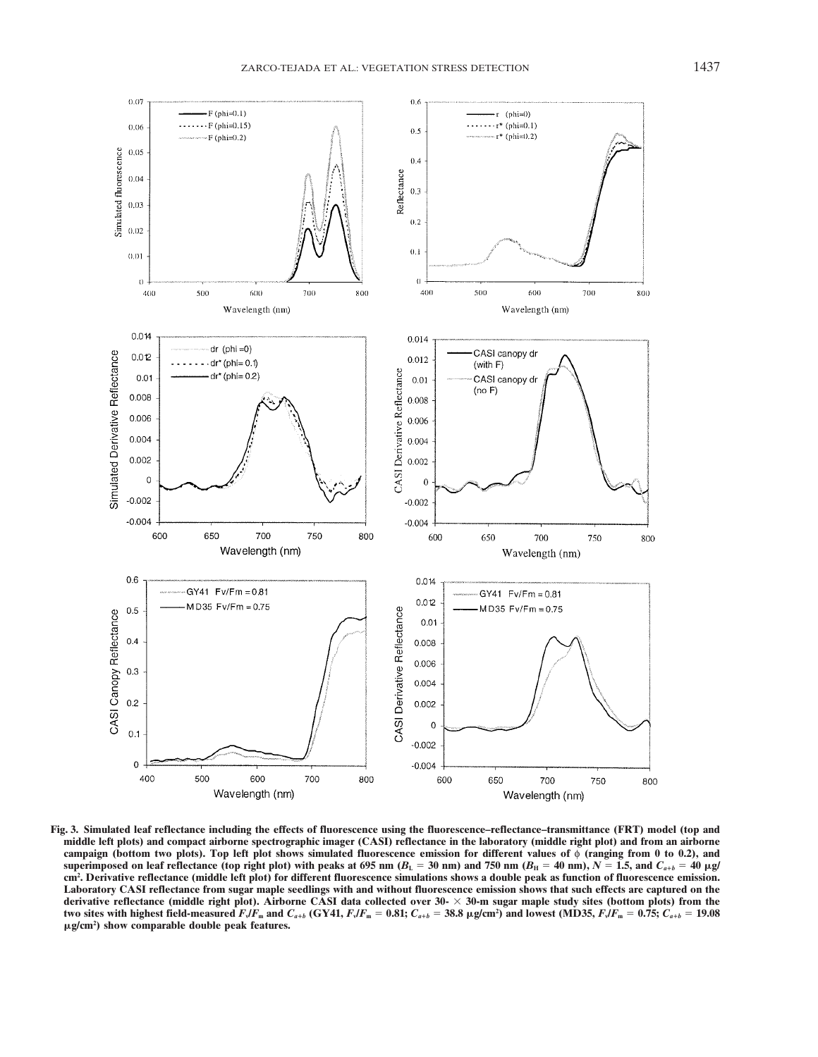

**Fig. 3. Simulated leaf reflectance including the effects of fluorescence using the fluorescence–reflectance–transmittance (FRT) model (top and middle left plots) and compact airborne spectrographic imager (CASI) reflectance in the laboratory (middle right plot) and from an airborne campaign (bottom two plots). Top left plot shows simulated fluorescence emission for different values of** φ **(ranging from 0 to 0.2), and** superimposed on leaf reflectance (top right plot) with peaks at 695 nm ( $B_L = 30$  nm) and 750 nm ( $B_H = 40$  nm),  $N = 1.5$ , and  $C_{a+b} = 40$   $\mu g/\mu g$ **cm2 . Derivative reflectance (middle left plot) for different fluorescence simulations shows a double peak as function of fluorescence emission. Laboratory CASI reflectance from sugar maple seedlings with and without fluorescence emission shows that such effects are captured on the derivative reflectance (middle right plot). Airborne CASI data collected over 30- 30-m sugar maple study sites (bottom plots) from the** two sites with highest field-measured  $F_s$ / $F_{\rm m}$  and  $C_{a+b}$  (GY41,  $F_s$ / $F_{\rm m}$  = 0.81;  $C_{a+b}$  = 38.8 µg/cm²) and lowest (MD35,  $F_s$ / $F_{\rm m}$  = 0.75;  $C_{a+b}$  = 19.08 **g/cm2 ) show comparable double peak features.**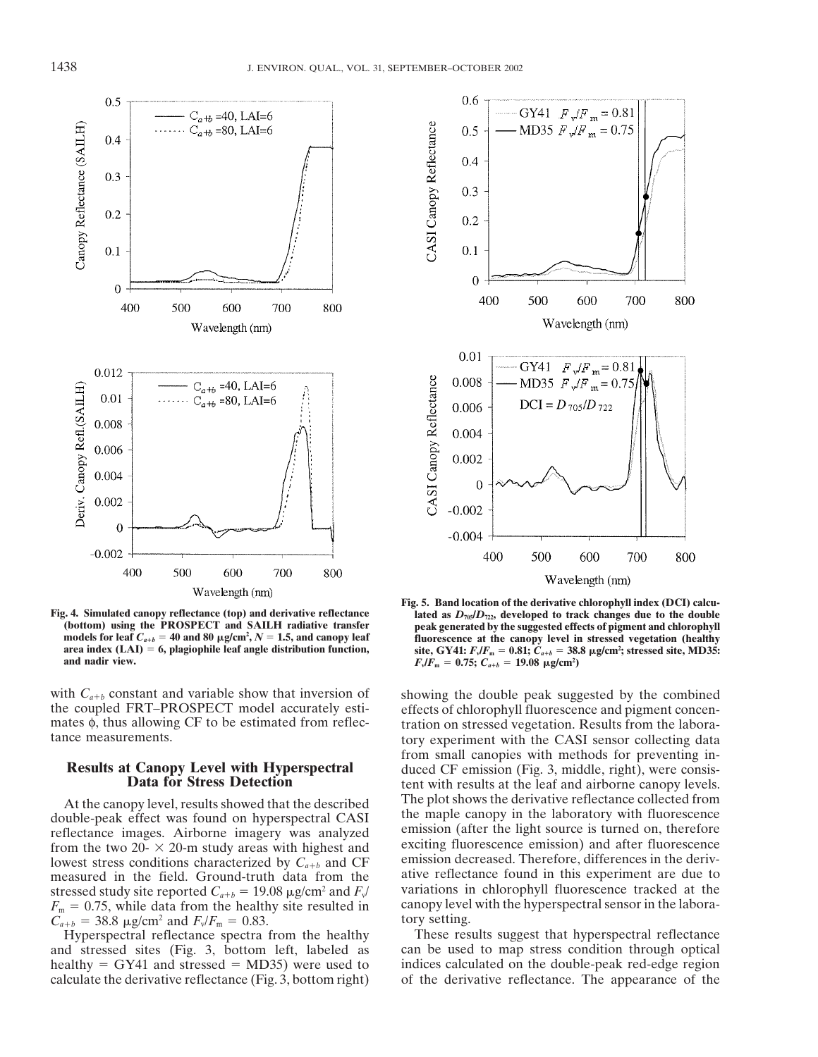

models for leaf  $C_{a+b} = 40$  and 80  $\mu$ g/cm<sup>2</sup>,  $N = 1.5$ , and canopy leaf **area index (LAI)** = 6, plagiophile leaf angle distribution function, and nadir view. **and nadir view.**  $F_{\rm v}/F_{\rm m} = 0.75; C_{a+b} = 19.08 \text{ }\mu\text{g/cm}^2$ 

with  $C_{a+b}$  constant and variable show that inversion of showing the double peak suggested by the combined the coupled FRT–PROSPECT model accurately esti-<br>effects of chlorophyll fluorescence and pigment concen-

stressed study site reported  $C_{a+b} = 19.08 \mu g/cm^2$  and  $F_v$  variations in chlorophyll fluorescence tracked at the  $F_v = 0.75$  while data from the healthy site resulted in canopy level with the hyperspectral sensor in the la  $F_m = 0.75$ , while data from the healthy site resulted in canopy level  $C_{\text{cut}} = 38.8 \text{ m/s/cm}^2$  and  $E/F_m = 0.83$  tory setting.  $C_{a+b} = 38.8 \text{ }\mu\text{g/cm}^2 \text{ and } F_v/F_m = 0.83.$  *boxy setting. a ab ab ab setting. Hyperspectral reflectance spectra from the healthy These results suggest that hyperspectral reflectance* 

and stressed sites (Fig. 3, bottom left, labeled as healthy  $=$  GY41 and stressed  $=$  MD35) were used to indices calculated on the double-peak red-edge region



**Fig. 5. Band location of the derivative chlorophyll index (DCI) calcu-Fig. 4. Simulated canopy reflectance (top) and derivative reflectance**  $\frac{1}{2}$  **ated as**  $D_{\eta_2}D_{\eta_2}$ **, developed to track changes due to the double<br>(bottom) using the PROSPECT and SAILH radiative transfer beak generat peak generated by the suggested effects of pigment and chlorophyll** fluorescence at the canopy level in stressed vegetation (healthy site, GY41:  $F_v/F_m = 0.81$ ;  $C_{a+b} = 38.8$   $\mu$ g/cm<sup>2</sup>; stressed site, MD35:

the coupled FRT–PROSPECT model accurately esti-<br>mates  $\phi$ , thus allowing CF to be estimated from reflection on stressed vegetation. Results from the laboramates φ, thus allowing CF to be estimated from reflec-<br>tration on stressed vegetation. Results from the labora-<br>tory experiment with the CASI sensor collecting data tory experiment with the CASI sensor collecting data **Results at Canopy Level with Hyperspectral** from small canopies with methods for preventing in-<br> **Results at Canopy Level with Hyperspectral** duced CF emission (Fig. 3, middle, right), were consis-<br> **Data for Stress Detec** At the canopy level, results showed that the described The plot shows the derivative reflectance collected from double-peak effect was found on hyperspectral CASI the maple canopy in the laboratory with fluorescence<br>reflectance images. Airborne imagery was analyzed<br>from the two 20-  $\times$  20-m study areas with highest and<br>lowest stre measured in the field. Ground-truth data from the ative reflectance found in this experiment are due to stressed study site reported  $C_{sub} = 19.08 \mu g/cm^2$  and  $F_{sub}$  variations in chlorophyll fluorescence tracked at the

Hyperspectral reflectance spectra from the healthy<br>
Interest results suggest that hyperspectral reflectance<br>
Interest of the section of the section of the section of the section of the section of the section of the section calculate the derivative reflectance (Fig. 3, bottom right) of the derivative reflectance. The appearance of the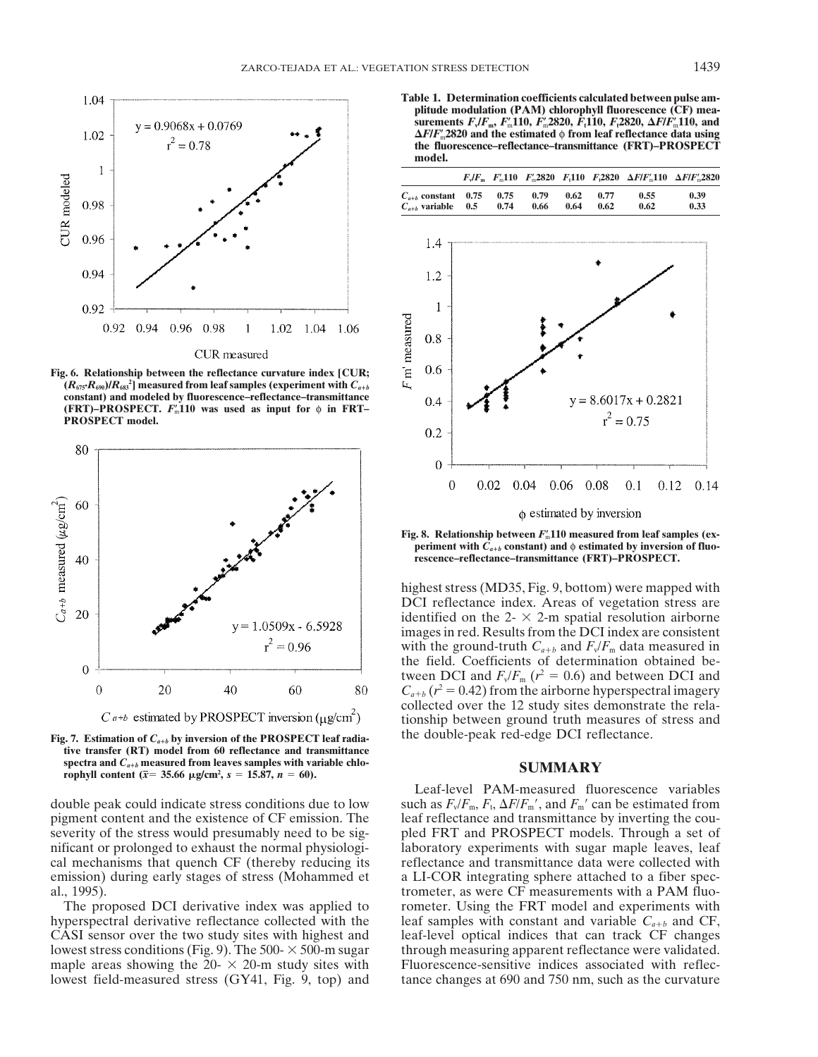

**Fig. 6. Relationship between the reflectance curvature index [CUR;**  $(R_{675} \cdot R_{690})/R_{683}$ <sup>2</sup> measured from leaf samples (experiment with  $C_{a+b}$ **constant) and modeled by fluorescence–reflectance–transmittance (FRT)–PROSPECT.**  $F_m$ 110 was used as input for  $\phi$  in FRT– **PROSPECT model.**



**tive transfer (RT) model from 60 reflectance and transmittance**  $\text{SUMMARY}$   $\text{C}_{a+b}$  measured from leaves samples with variable chlo- $\text{SUMMARY}$ 

stress could indicate stress conditions due to low double peak could indicate stress conditions due to low pigment content and the existence of CF emission. The leaf reflectance and transmittance by inverting the couseverity of the stress would presumably need to be sig-<br>pled FRT and PROSPECT models. Through a set of nificant or prolonged to exhaust the normal physiologi- laboratory experiments with sugar maple leaves, leaf cal mechanisms that quench CF (thereby reducing its reflectance and transmittance data were collected with emission) during early stages of stress (Mohammed et a LI-COR integrating sphere attached to a fiber specal., 1995). trometer, as were CF measurements with a PAM fluo-

**Table 1. Determination coefficients calculated between pulse amplitude modulation (PAM) chlorophyll fluorescence (CF) measurements** *F***v/***F***m,** *F*m-**110,** *F*m-**2820,** *F***t110,** *F***t2820,** *F***/***F*m-**110, and** *F***/***F*m-**2820 and the estimated** φ **from leaf reflectance data using the fluorescence–reflectance–transmittance (FRT)–PROSPECT model.**

|                                                        |      |              |              |              |              | $F_v/F_m$ $F'_m$ 110 $F'_m$ 2820 $F_1$ 110 $F_2$ 2820 $\Delta F/F'_m$ 110 $\Delta F/F'_m$ 2820 |
|--------------------------------------------------------|------|--------------|--------------|--------------|--------------|------------------------------------------------------------------------------------------------|
| $C_{a+b}$ constant 0.75 0.75<br>$C_{a+b}$ variable 0.5 | 0.74 | 0.79<br>0.66 | 0.62<br>0.64 | 0.77<br>0.62 | 0.55<br>0.62 | 0.39<br>0.33                                                                                   |



Fig. 8. Relationship between  $F'_\text{m}$ 110 measured from leaf samples (ex**periment** with  $C_{a+b}$  constant) and  $\phi$  estimated by inversion of fluo**rescence–reflectance–transmittance (FRT)–PROSPECT.**

highest stress (MD35, Fig. 9, bottom) were mapped with DCI reflectance index. Areas of vegetation stress are identified on the 2- $\times$  2-m spatial resolution airborne images in red. Results from the DCI index are consistent with the ground-truth  $C_{a+b}$  and  $F_v/F_m$  data measured in the field. Coefficients of determination obtained between DCI and  $F_v/F_m$  ( $r^2 = 0.6$ ) and between DCI and  $C_{a+b}$  ( $r^2$  = 0.42) from the airborne hyperspectral imagery collected over the 12 study sites demonstrate the relationship between ground truth measures of stress and Fig. 7. Estimation of  $C_{a+b}$  by inversion of the PROSPECT leaf radia-<br>the double-peak red-edge DCI reflectance.

Leaf-level PAM-measured fluorescence variables , and  $F_m'$  can be estimated from The proposed DCI derivative index was applied to rometer. Using the FRT model and experiments with hyperspectral derivative reflectance collected with the leaf samples with constant and variable  $C_{a+b}$  and CF, CASI sensor over the two study sites with highest and leaf-level optical indices that can track CF changes lowest stress conditions (Fig. 9). The 500- $\times$  500-m sugar through measuring apparent reflectance were validated. maple areas showing the  $20 - \times 20$ -m study sites with Fluorescence-sensitive indices associated with refleclowest field-measured stress (GY41, Fig. 9, top) and tance changes at 690 and 750 nm, such as the curvature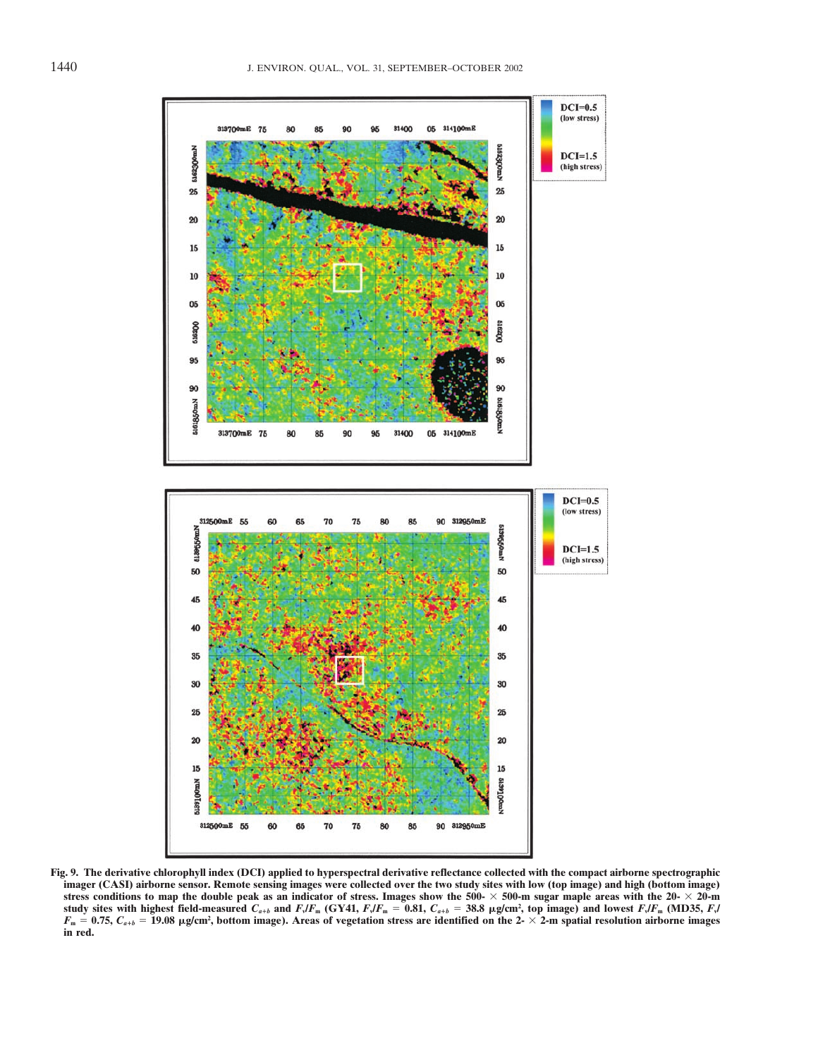

**Fig. 9. The derivative chlorophyll index (DCI) applied to hyperspectral derivative reflectance collected with the compact airborne spectrographic imager (CASI) airborne sensor. Remote sensing images were collected over the two study sites with low (top image) and high (bottom image)** stress conditions to map the double peak as an indicator of stress. Images show the  $500- \times 500$ -m sugar maple areas with the  $20- \times 20$ -m study sites with highest field-measured  $C_{a+b}$  and  $F_v$ / $F_m$  (GY41,  $F_v$ / $F_m = 0.81,~C_{a+b} = 38.8~\mu$ g/cm², top image) and lowest  $F_v$ / $F_m$  (MD35,  $F_v$ /  $F_{\rm m}$  = 0.75,  $C_{a+b}$  = 19.08  $\mu$ g/cm<sup>2</sup>, bottom image). Areas of vegetation stress are identified on the 2-  $\times$  2-m spatial resolution airborne images **in red.**